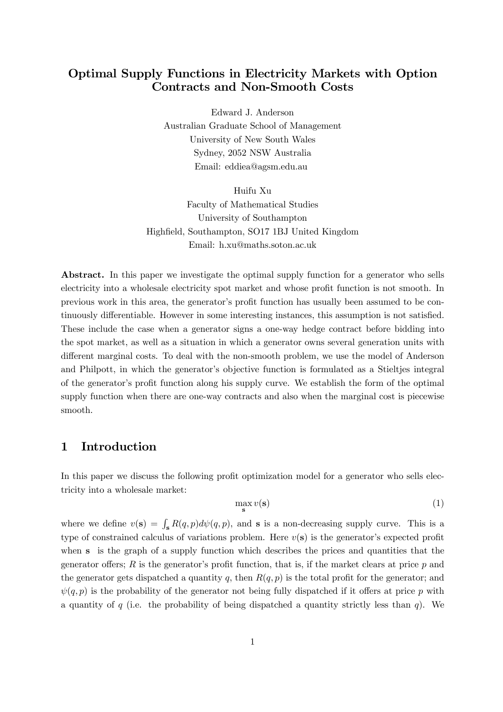## Optimal Supply Functions in Electricity Markets with Option Contracts and Non-Smooth Costs

Edward J. Anderson Australian Graduate School of Management University of New South Wales Sydney, 2052 NSW Australia Email: eddiea@agsm.edu.au

Huifu Xu Faculty of Mathematical Studies University of Southampton Highfield, Southampton, SO17 1BJ United Kingdom Email: h.xu@maths.soton.ac.uk

Abstract. In this paper we investigate the optimal supply function for a generator who sells electricity into a wholesale electricity spot market and whose profit function is not smooth. In previous work in this area, the generator's profit function has usually been assumed to be continuously differentiable. However in some interesting instances, this assumption is not satisfied. These include the case when a generator signs a one-way hedge contract before bidding into the spot market, as well as a situation in which a generator owns several generation units with different marginal costs. To deal with the non-smooth problem, we use the model of Anderson and Philpott, in which the generator's objective function is formulated as a Stieltjes integral of the generator's profit function along his supply curve. We establish the form of the optimal supply function when there are one-way contracts and also when the marginal cost is piecewise smooth.

#### 1 Introduction

In this paper we discuss the following profit optimization model for a generator who sells electricity into a wholesale market:

$$
\max_{\mathbf{s}} v(\mathbf{s}) \tag{1}
$$

where we define  $v(s) = \int_s R(q, p) d\psi(q, p)$ , and s is a non-decreasing supply curve. This is a type of constrained calculus of variations problem. Here  $v(s)$  is the generator's expected profit when s is the graph of a supply function which describes the prices and quantities that the generator offers;  $R$  is the generator's profit function, that is, if the market clears at price  $p$  and the generator gets dispatched a quantity q, then  $R(q, p)$  is the total profit for the generator; and  $\psi(q, p)$  is the probability of the generator not being fully dispatched if it offers at price p with a quantity of q (i.e. the probability of being dispatched a quantity strictly less than  $q$ ). We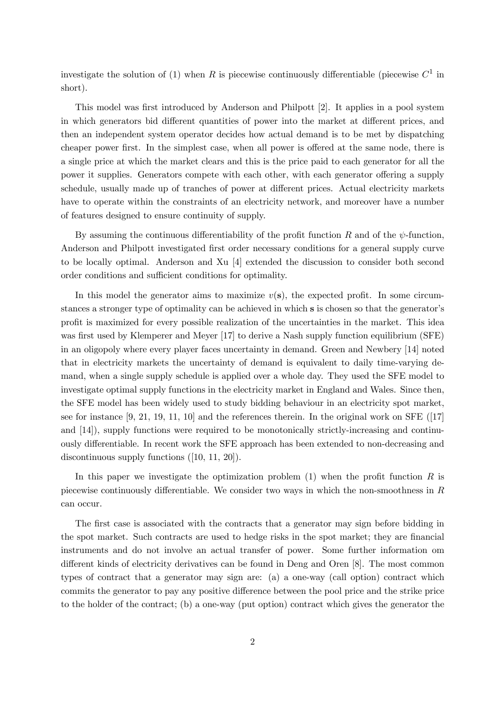investigate the solution of (1) when R is piecewise continuously differentiable (piecewise  $C^1$  in short).

This model was first introduced by Anderson and Philpott [2]. It applies in a pool system in which generators bid different quantities of power into the market at different prices, and then an independent system operator decides how actual demand is to be met by dispatching cheaper power first. In the simplest case, when all power is offered at the same node, there is a single price at which the market clears and this is the price paid to each generator for all the power it supplies. Generators compete with each other, with each generator offering a supply schedule, usually made up of tranches of power at different prices. Actual electricity markets have to operate within the constraints of an electricity network, and moreover have a number of features designed to ensure continuity of supply.

By assuming the continuous differentiability of the profit function R and of the  $\psi$ -function, Anderson and Philpott investigated first order necessary conditions for a general supply curve to be locally optimal. Anderson and Xu [4] extended the discussion to consider both second order conditions and sufficient conditions for optimality.

In this model the generator aims to maximize  $v(s)$ , the expected profit. In some circumstances a stronger type of optimality can be achieved in which s is chosen so that the generator's profit is maximized for every possible realization of the uncertainties in the market. This idea was first used by Klemperer and Meyer [17] to derive a Nash supply function equilibrium (SFE) in an oligopoly where every player faces uncertainty in demand. Green and Newbery [14] noted that in electricity markets the uncertainty of demand is equivalent to daily time-varying demand, when a single supply schedule is applied over a whole day. They used the SFE model to investigate optimal supply functions in the electricity market in England and Wales. Since then, the SFE model has been widely used to study bidding behaviour in an electricity spot market, see for instance  $[9, 21, 19, 11, 10]$  and the references therein. In the original work on SFE  $([17]$ and [14]), supply functions were required to be monotonically strictly-increasing and continuously differentiable. In recent work the SFE approach has been extended to non-decreasing and discontinuous supply functions ([10, 11, 20]).

In this paper we investigate the optimization problem  $(1)$  when the profit function R is piecewise continuously differentiable. We consider two ways in which the non-smoothness in  $R$ can occur.

The first case is associated with the contracts that a generator may sign before bidding in the spot market. Such contracts are used to hedge risks in the spot market; they are financial instruments and do not involve an actual transfer of power. Some further information om different kinds of electricity derivatives can be found in Deng and Oren [8]. The most common types of contract that a generator may sign are: (a) a one-way (call option) contract which commits the generator to pay any positive difference between the pool price and the strike price to the holder of the contract; (b) a one-way (put option) contract which gives the generator the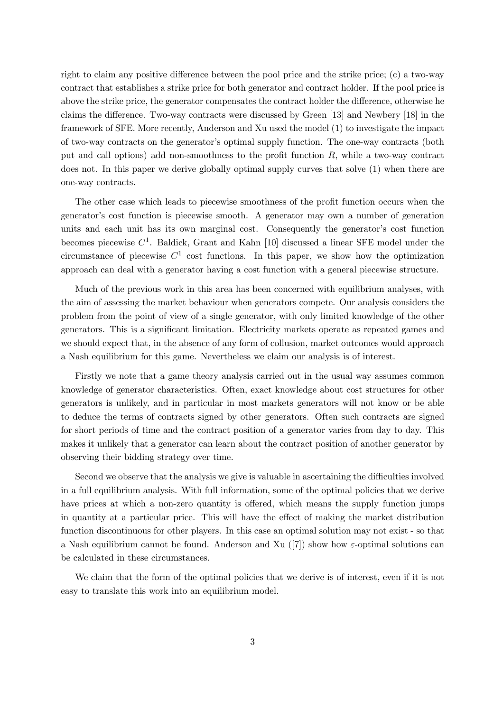right to claim any positive difference between the pool price and the strike price; (c) a two-way contract that establishes a strike price for both generator and contract holder. If the pool price is above the strike price, the generator compensates the contract holder the difference, otherwise he claims the difference. Two-way contracts were discussed by Green [13] and Newbery [18] in the framework of SFE. More recently, Anderson and Xu used the model (1) to investigate the impact of two-way contracts on the generator's optimal supply function. The one-way contracts (both put and call options) add non-smoothness to the profit function R, while a two-way contract does not. In this paper we derive globally optimal supply curves that solve (1) when there are one-way contracts.

The other case which leads to piecewise smoothness of the profit function occurs when the generator's cost function is piecewise smooth. A generator may own a number of generation units and each unit has its own marginal cost. Consequently the generator's cost function becomes piecewise  $C^1$ . Baldick, Grant and Kahn [10] discussed a linear SFE model under the circumstance of piecewise  $C^1$  cost functions. In this paper, we show how the optimization approach can deal with a generator having a cost function with a general piecewise structure.

Much of the previous work in this area has been concerned with equilibrium analyses, with the aim of assessing the market behaviour when generators compete. Our analysis considers the problem from the point of view of a single generator, with only limited knowledge of the other generators. This is a significant limitation. Electricity markets operate as repeated games and we should expect that, in the absence of any form of collusion, market outcomes would approach a Nash equilibrium for this game. Nevertheless we claim our analysis is of interest.

Firstly we note that a game theory analysis carried out in the usual way assumes common knowledge of generator characteristics. Often, exact knowledge about cost structures for other generators is unlikely, and in particular in most markets generators will not know or be able to deduce the terms of contracts signed by other generators. Often such contracts are signed for short periods of time and the contract position of a generator varies from day to day. This makes it unlikely that a generator can learn about the contract position of another generator by observing their bidding strategy over time.

Second we observe that the analysis we give is valuable in ascertaining the difficulties involved in a full equilibrium analysis. With full information, some of the optimal policies that we derive have prices at which a non-zero quantity is offered, which means the supply function jumps in quantity at a particular price. This will have the effect of making the market distribution function discontinuous for other players. In this case an optimal solution may not exist - so that a Nash equilibrium cannot be found. Anderson and Xu ([7]) show how  $\varepsilon$ -optimal solutions can be calculated in these circumstances.

We claim that the form of the optimal policies that we derive is of interest, even if it is not easy to translate this work into an equilibrium model.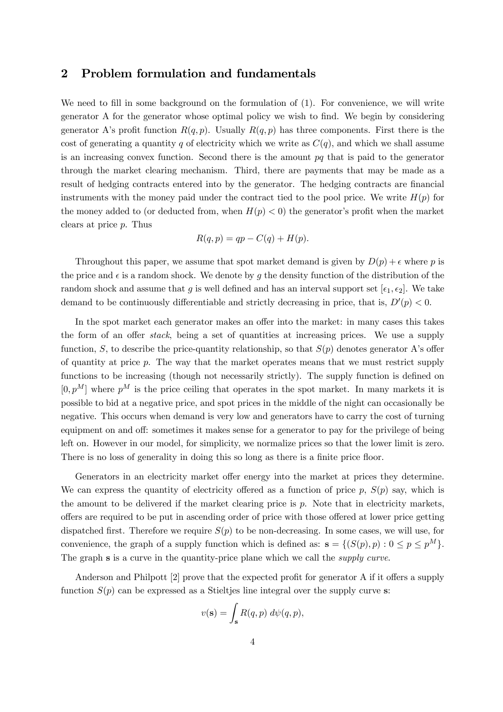#### 2 Problem formulation and fundamentals

We need to fill in some background on the formulation of  $(1)$ . For convenience, we will write generator A for the generator whose optimal policy we wish to find. We begin by considering generator A's profit function  $R(q, p)$ . Usually  $R(q, p)$  has three components. First there is the cost of generating a quantity q of electricity which we write as  $C(q)$ , and which we shall assume is an increasing convex function. Second there is the amount  $pq$  that is paid to the generator through the market clearing mechanism. Third, there are payments that may be made as a result of hedging contracts entered into by the generator. The hedging contracts are financial instruments with the money paid under the contract tied to the pool price. We write  $H(p)$  for the money added to (or deducted from, when  $H(p) < 0$ ) the generator's profit when the market clears at price p. Thus

$$
R(q, p) = qp - C(q) + H(p).
$$

Throughout this paper, we assume that spot market demand is given by  $D(p) + \epsilon$  where p is the price and  $\epsilon$  is a random shock. We denote by g the density function of the distribution of the random shock and assume that g is well defined and has an interval support set  $[\epsilon_1, \epsilon_2]$ . We take demand to be continuously differentiable and strictly decreasing in price, that is,  $D'(p) < 0$ .

In the spot market each generator makes an offer into the market: in many cases this takes the form of an offer stack, being a set of quantities at increasing prices. We use a supply function, S, to describe the price-quantity relationship, so that  $S(p)$  denotes generator A's offer of quantity at price p. The way that the market operates means that we must restrict supply functions to be increasing (though not necessarily strictly). The supply function is defined on  $[0, p<sup>M</sup>]$  where  $p<sup>M</sup>$  is the price ceiling that operates in the spot market. In many markets it is possible to bid at a negative price, and spot prices in the middle of the night can occasionally be negative. This occurs when demand is very low and generators have to carry the cost of turning equipment on and off: sometimes it makes sense for a generator to pay for the privilege of being left on. However in our model, for simplicity, we normalize prices so that the lower limit is zero. There is no loss of generality in doing this so long as there is a finite price floor.

Generators in an electricity market offer energy into the market at prices they determine. We can express the quantity of electricity offered as a function of price  $p$ ,  $S(p)$  say, which is the amount to be delivered if the market clearing price is  $p$ . Note that in electricity markets, offers are required to be put in ascending order of price with those offered at lower price getting dispatched first. Therefore we require  $S(p)$  to be non-decreasing. In some cases, we will use, for convenience, the graph of a supply function which is defined as:  $\mathbf{s} = \{ (S(p), p) : 0 \leq p \leq p^M \}.$ The graph **s** is a curve in the quantity-price plane which we call the *supply curve*.

Anderson and Philpott [2] prove that the expected profit for generator A if it offers a supply function  $S(p)$  can be expressed as a Stieltjes line integral over the supply curve s:

$$
v(\mathbf{s}) = \int_{\mathbf{s}} R(q, p) \, d\psi(q, p),
$$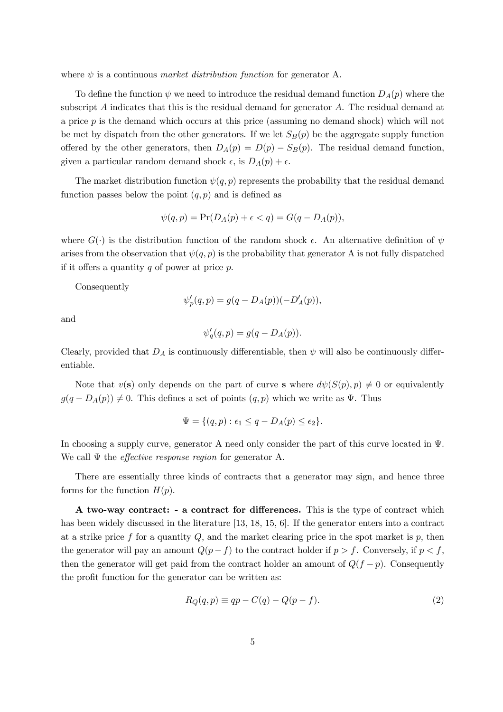where  $\psi$  is a continuous *market distribution function* for generator A.

To define the function  $\psi$  we need to introduce the residual demand function  $D_A(p)$  where the subscript A indicates that this is the residual demand for generator A. The residual demand at a price p is the demand which occurs at this price (assuming no demand shock) which will not be met by dispatch from the other generators. If we let  $S_B(p)$  be the aggregate supply function offered by the other generators, then  $D_A(p) = D(p) - S_B(p)$ . The residual demand function, given a particular random demand shock  $\epsilon$ , is  $D_A(p) + \epsilon$ .

The market distribution function  $\psi(q, p)$  represents the probability that the residual demand function passes below the point  $(q, p)$  and is defined as

$$
\psi(q,p) = \Pr(D_A(p) + \epsilon < q) = G(q - D_A(p)),
$$

where  $G(\cdot)$  is the distribution function of the random shock  $\epsilon$ . An alternative definition of  $\psi$ arises from the observation that  $\psi(q, p)$  is the probability that generator A is not fully dispatched if it offers a quantity  $q$  of power at price  $p$ .

Consequently

$$
\psi_p'(q, p) = g(q - D_A(p))(-D'_A(p)),
$$

and

$$
\psi'_q(q,p) = g(q - D_A(p)).
$$

Clearly, provided that  $D_A$  is continuously differentiable, then  $\psi$  will also be continuously differentiable.

Note that  $v(s)$  only depends on the part of curve s where  $d\psi(S(p), p) \neq 0$  or equivalently  $g(q - D_A(p)) \neq 0$ . This defines a set of points  $(q, p)$  which we write as  $\Psi$ . Thus

$$
\Psi = \{(q, p) : \epsilon_1 \le q - D_A(p) \le \epsilon_2\}.
$$

In choosing a supply curve, generator A need only consider the part of this curve located in Ψ. We call  $\Psi$  the *effective response region* for generator A.

There are essentially three kinds of contracts that a generator may sign, and hence three forms for the function  $H(p)$ .

A two-way contract: - a contract for differences. This is the type of contract which has been widely discussed in the literature [13, 18, 15, 6]. If the generator enters into a contract at a strike price f for a quantity  $Q$ , and the market clearing price in the spot market is  $p$ , then the generator will pay an amount  $Q(p - f)$  to the contract holder if  $p > f$ . Conversely, if  $p < f$ , then the generator will get paid from the contract holder an amount of  $Q(f - p)$ . Consequently the profit function for the generator can be written as:

$$
R_Q(q, p) \equiv qp - C(q) - Q(p - f). \tag{2}
$$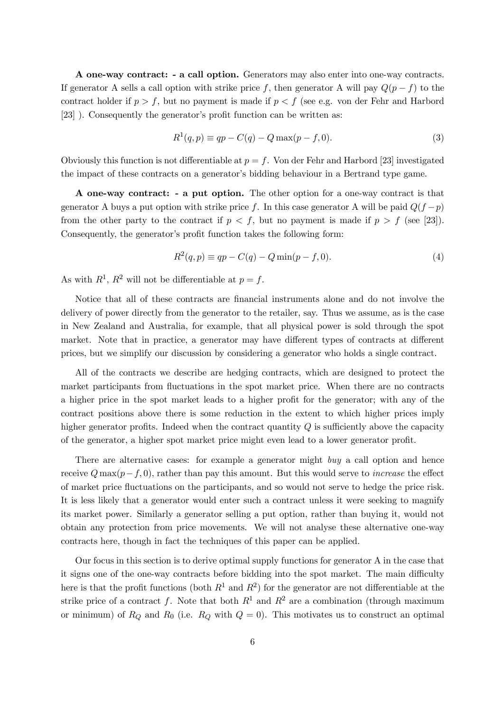A one-way contract: - a call option. Generators may also enter into one-way contracts. If generator A sells a call option with strike price f, then generator A will pay  $Q(p - f)$  to the contract holder if  $p > f$ , but no payment is made if  $p < f$  (see e.g. von der Fehr and Harbord [23] ). Consequently the generator's profit function can be written as:

$$
R^{1}(q, p) \equiv qp - C(q) - Q \max(p - f, 0).
$$
 (3)

Obviously this function is not differentiable at  $p = f$ . Von der Fehr and Harbord [23] investigated the impact of these contracts on a generator's bidding behaviour in a Bertrand type game.

A one-way contract: - a put option. The other option for a one-way contract is that generator A buys a put option with strike price f. In this case generator A will be paid  $Q(f - p)$ from the other party to the contract if  $p < f$ , but no payment is made if  $p > f$  (see [23]). Consequently, the generator's profit function takes the following form:

$$
R^{2}(q, p) \equiv qp - C(q) - Q \min(p - f, 0).
$$
 (4)

As with  $R^1$ ,  $R^2$  will not be differentiable at  $p = f$ .

Notice that all of these contracts are financial instruments alone and do not involve the delivery of power directly from the generator to the retailer, say. Thus we assume, as is the case in New Zealand and Australia, for example, that all physical power is sold through the spot market. Note that in practice, a generator may have different types of contracts at different prices, but we simplify our discussion by considering a generator who holds a single contract.

All of the contracts we describe are hedging contracts, which are designed to protect the market participants from fluctuations in the spot market price. When there are no contracts a higher price in the spot market leads to a higher profit for the generator; with any of the contract positions above there is some reduction in the extent to which higher prices imply higher generator profits. Indeed when the contract quantity  $Q$  is sufficiently above the capacity of the generator, a higher spot market price might even lead to a lower generator profit.

There are alternative cases: for example a generator might buy a call option and hence receive  $Q \max(p-f, 0)$ , rather than pay this amount. But this would serve to *increase* the effect of market price fluctuations on the participants, and so would not serve to hedge the price risk. It is less likely that a generator would enter such a contract unless it were seeking to magnify its market power. Similarly a generator selling a put option, rather than buying it, would not obtain any protection from price movements. We will not analyse these alternative one-way contracts here, though in fact the techniques of this paper can be applied.

Our focus in this section is to derive optimal supply functions for generator A in the case that it signs one of the one-way contracts before bidding into the spot market. The main difficulty here is that the profit functions (both  $R^1$  and  $R^2$ ) for the generator are not differentiable at the strike price of a contract f. Note that both  $R^1$  and  $R^2$  are a combination (through maximum or minimum) of  $R_Q$  and  $R_0$  (i.e.  $R_Q$  with  $Q = 0$ ). This motivates us to construct an optimal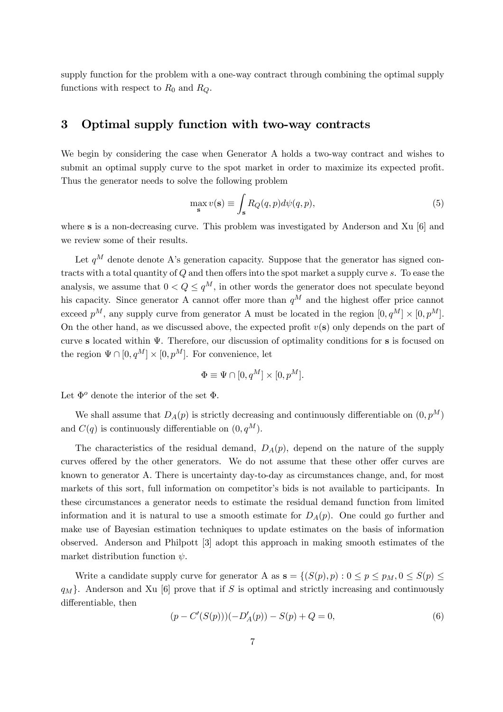supply function for the problem with a one-way contract through combining the optimal supply functions with respect to  $R_0$  and  $R_Q$ .

#### 3 Optimal supply function with two-way contracts

We begin by considering the case when Generator A holds a two-way contract and wishes to submit an optimal supply curve to the spot market in order to maximize its expected profit. Thus the generator needs to solve the following problem

$$
\max_{\mathbf{s}} v(\mathbf{s}) \equiv \int_{\mathbf{s}} R_Q(q, p) d\psi(q, p), \tag{5}
$$

where s is a non-decreasing curve. This problem was investigated by Anderson and Xu [6] and we review some of their results.

Let  $q^M$  denote denote A's generation capacity. Suppose that the generator has signed contracts with a total quantity of Q and then offers into the spot market a supply curve s. To ease the analysis, we assume that  $0 < Q \leq q^M$ , in other words the generator does not speculate beyond his capacity. Since generator A cannot offer more than  $q^M$  and the highest offer price cannot exceed  $p^M$ , any supply curve from generator A must be located in the region  $[0, q^M] \times [0, p^M]$ . On the other hand, as we discussed above, the expected profit  $v(s)$  only depends on the part of curve s located within Ψ. Therefore, our discussion of optimality conditions for s is focused on the region  $\Psi \cap [0, q^M] \times [0, p^M]$ . For convenience, let

$$
\Phi \equiv \Psi \cap [0, q^M] \times [0, p^M].
$$

Let  $\Phi^o$  denote the interior of the set  $\Phi$ .

We shall assume that  $D_A(p)$  is strictly decreasing and continuously differentiable on  $(0, p^M)$ and  $C(q)$  is continuously differentiable on  $(0, q^M)$ .

The characteristics of the residual demand,  $D_A(p)$ , depend on the nature of the supply curves offered by the other generators. We do not assume that these other offer curves are known to generator A. There is uncertainty day-to-day as circumstances change, and, for most markets of this sort, full information on competitor's bids is not available to participants. In these circumstances a generator needs to estimate the residual demand function from limited information and it is natural to use a smooth estimate for  $D_A(p)$ . One could go further and make use of Bayesian estimation techniques to update estimates on the basis of information observed. Anderson and Philpott [3] adopt this approach in making smooth estimates of the market distribution function  $\psi$ .

Write a candidate supply curve for generator A as  $s = \{(S(p), p): 0 \le p \le p_M, 0 \le S(p) \le$  $q_M$ . Anderson and Xu [6] prove that if S is optimal and strictly increasing and continuously differentiable, then

$$
(p - C'(S(p)))(-D'_A(p)) - S(p) + Q = 0,
$$
\n(6)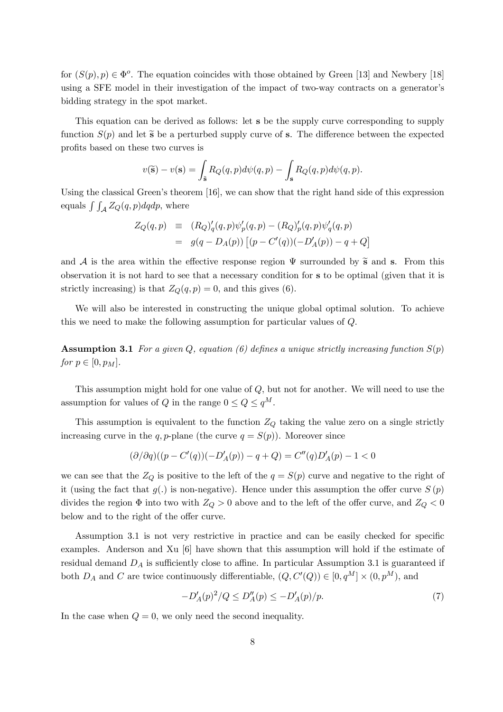for  $(S(p), p) \in \Phi^o$ . The equation coincides with those obtained by Green [13] and Newbery [18] using a SFE model in their investigation of the impact of two-way contracts on a generator's bidding strategy in the spot market.

This equation can be derived as follows: let s be the supply curve corresponding to supply function  $S(p)$  and let  $\tilde{s}$  be a perturbed supply curve of s. The difference between the expected profits based on these two curves is

$$
v(\widetilde{\mathbf{s}}) - v(\mathbf{s}) = \int_{\widetilde{\mathbf{s}}} R_Q(q,p) d\psi(q,p) - \int_{\mathbf{s}} R_Q(q,p) d\psi(q,p).
$$

Using the classical Green's theorem [16], we can show that the right hand side of this expression equals  $\int \int_{\mathcal{A}} Z_Q(q, p) dq dp$ , where

$$
Z_Q(q, p) \equiv (R_Q)'_q(q, p)\psi'_p(q, p) - (R_Q)'_p(q, p)\psi'_q(q, p)
$$
  
=  $g(q - D_A(p)) [(p - C'(q))(-D'_A(p)) - q + Q]$ 

and A is the area within the effective response region  $\Psi$  surrounded by  $\tilde{s}$  and s. From this observation it is not hard to see that a necessary condition for s to be optimal (given that it is strictly increasing) is that  $Z_Q(q, p) = 0$ , and this gives (6).

We will also be interested in constructing the unique global optimal solution. To achieve this we need to make the following assumption for particular values of Q.

**Assumption 3.1** For a given Q, equation (6) defines a unique strictly increasing function  $S(p)$ for  $p \in [0, p_M]$ .

This assumption might hold for one value of  $Q$ , but not for another. We will need to use the assumption for values of Q in the range  $0 \le Q \le q^M$ .

This assumption is equivalent to the function  $Z_Q$  taking the value zero on a single strictly increasing curve in the q, p-plane (the curve  $q = S(p)$ ). Moreover since

$$
(\partial/\partial q)((p - C'(q))(-D'_A(p)) - q + Q) = C''(q)D'_A(p) - 1 < 0
$$

we can see that the  $Z_Q$  is positive to the left of the  $q = S(p)$  curve and negative to the right of it (using the fact that  $g(.)$  is non-negative). Hence under this assumption the offer curve  $S(p)$ divides the region  $\Phi$  into two with  $Z_Q > 0$  above and to the left of the offer curve, and  $Z_Q < 0$ below and to the right of the offer curve.

Assumption 3.1 is not very restrictive in practice and can be easily checked for specific examples. Anderson and Xu [6] have shown that this assumption will hold if the estimate of residual demand  $D_A$  is sufficiently close to affine. In particular Assumption 3.1 is guaranteed if both  $D_A$  and C are twice continuously differentiable,  $(Q, C'(Q)) \in [0, q^M] \times (0, p^M)$ , and

$$
-D'_{A}(p)^{2}/Q \le D''_{A}(p) \le -D'_{A}(p)/p. \tag{7}
$$

In the case when  $Q = 0$ , we only need the second inequality.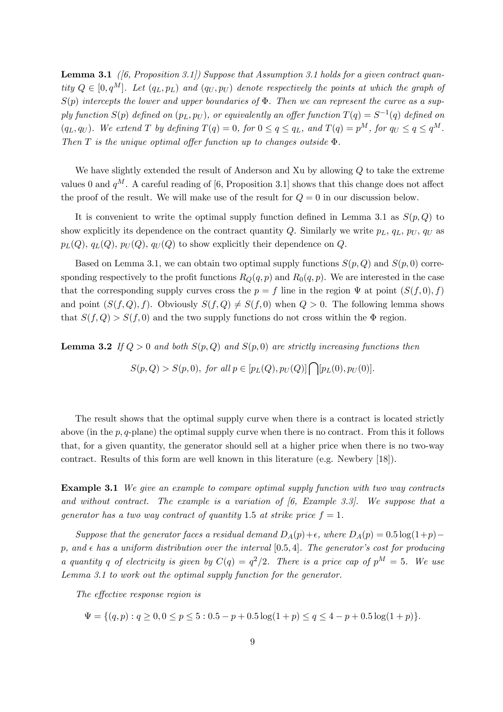**Lemma 3.1** (6, Proposition 3.1)) Suppose that Assumption 3.1 holds for a given contract quantity  $Q \in [0, q^M]$ . Let  $(q_L, p_L)$  and  $(q_U, p_U)$  denote respectively the points at which the graph of  $S(p)$  intercepts the lower and upper boundaries of  $\Phi$ . Then we can represent the curve as a supply function  $S(p)$  defined on  $(p_L, p_U)$ , or equivalently an offer function  $T(q) = S^{-1}(q)$  defined on  $(q_L, q_U)$ . We extend T by defining  $T(q) = 0$ , for  $0 \le q \le q_L$ , and  $T(q) = p^M$ , for  $q_U \le q \le q^M$ . Then T is the unique optimal offer function up to changes outside  $\Phi$ .

We have slightly extended the result of Anderson and Xu by allowing  $Q$  to take the extreme values 0 and  $q^M$ . A careful reading of [6, Proposition 3.1] shows that this change does not affect the proof of the result. We will make use of the result for  $Q = 0$  in our discussion below.

It is convenient to write the optimal supply function defined in Lemma 3.1 as  $S(p, Q)$  to show explicitly its dependence on the contract quantity Q. Similarly we write  $p_L$ ,  $q_L$ ,  $p_U$ ,  $q_U$  as  $p_L(Q), q_L(Q), p_U(Q), q_U(Q)$  to show explicitly their dependence on Q.

Based on Lemma 3.1, we can obtain two optimal supply functions  $S(p, Q)$  and  $S(p, 0)$  corresponding respectively to the profit functions  $R_Q(q, p)$  and  $R_0(q, p)$ . We are interested in the case that the corresponding supply curves cross the  $p = f$  line in the region  $\Psi$  at point  $(S(f, 0), f)$ and point  $(S(f, Q), f)$ . Obviously  $S(f, Q) \neq S(f, 0)$  when  $Q > 0$ . The following lemma shows that  $S(f, Q) > S(f, 0)$  and the two supply functions do not cross within the  $\Phi$  region.

**Lemma 3.2** If  $Q > 0$  and both  $S(p, Q)$  and  $S(p, 0)$  are strictly increasing functions then

$$
S(p,Q) > S(p,0), \text{ for all } p \in [p_L(Q), p_U(Q)] \bigcap [p_L(0), p_U(0)].
$$

The result shows that the optimal supply curve when there is a contract is located strictly above (in the  $p, q$ -plane) the optimal supply curve when there is no contract. From this it follows that, for a given quantity, the generator should sell at a higher price when there is no two-way contract. Results of this form are well known in this literature (e.g. Newbery [18]).

Example 3.1 We give an example to compare optimal supply function with two way contracts and without contract. The example is a variation of  $(6, Example 3.3)$ . We suppose that a generator has a two way contract of quantity 1.5 at strike price  $f = 1$ .

Suppose that the generator faces a residual demand  $D_A(p)+\epsilon$ , where  $D_A(p)=0.5 \log(1+p)$ p, and  $\epsilon$  has a uniform distribution over the interval [0.5, 4]. The generator's cost for producing a quantity q of electricity is given by  $C(q) = q^2/2$ . There is a price cap of  $p^M = 5$ . We use Lemma 3.1 to work out the optimal supply function for the generator.

The effective response region is

$$
\Psi = \{(q, p) : q \ge 0, 0 \le p \le 5 : 0.5 - p + 0.5 \log(1 + p) \le q \le 4 - p + 0.5 \log(1 + p)\}.
$$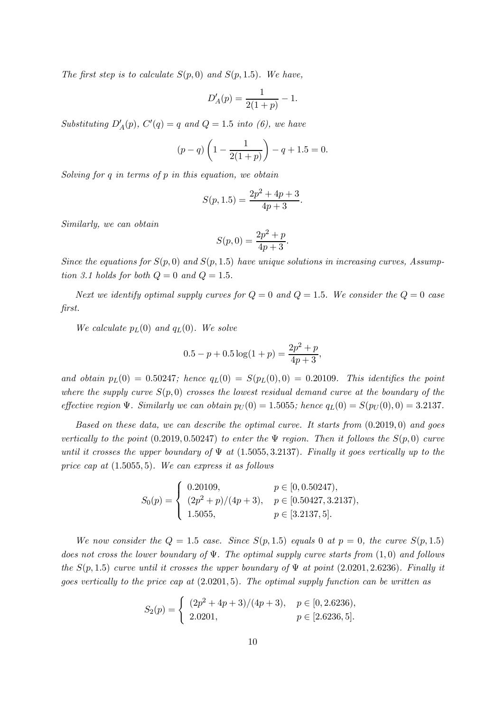The first step is to calculate  $S(p, 0)$  and  $S(p, 1.5)$ . We have,

$$
D'_A(p) = \frac{1}{2(1+p)} - 1.
$$

Substituting  $D'_A(p)$ ,  $C'(q) = q$  and  $Q = 1.5$  into (6), we have

$$
(p-q)\left(1-\frac{1}{2(1+p)}\right)-q+1.5=0.
$$

Solving for  $q$  in terms of  $p$  in this equation, we obtain

$$
S(p, 1.5) = \frac{2p^2 + 4p + 3}{4p + 3}.
$$

Similarly, we can obtain

$$
S(p,0) = \frac{2p^2 + p}{4p + 3}.
$$

Since the equations for  $S(p, 0)$  and  $S(p, 1.5)$  have unique solutions in increasing curves, Assumption 3.1 holds for both  $Q = 0$  and  $Q = 1.5$ .

Next we identify optimal supply curves for  $Q = 0$  and  $Q = 1.5$ . We consider the  $Q = 0$  case first.

We calculate  $p_L(0)$  and  $q_L(0)$ . We solve

$$
0.5 - p + 0.5\log(1 + p) = \frac{2p^2 + p}{4p + 3},
$$

and obtain  $p_L(0) = 0.50247$ ; hence  $q_L(0) = S(p_L(0), 0) = 0.20109$ . This identifies the point where the supply curve  $S(p, 0)$  crosses the lowest residual demand curve at the boundary of the effective region  $\Psi$ . Similarly we can obtain  $p_U(0) = 1.5055$ ; hence  $q_L(0) = S(p_U(0), 0) = 3.2137$ .

Based on these data, we can describe the optimal curve. It starts from  $(0.2019, 0)$  and goes vertically to the point  $(0.2019, 0.50247)$  to enter the  $\Psi$  region. Then it follows the  $S(p, 0)$  curve until it crosses the upper boundary of  $\Psi$  at (1.5055, 3.2137). Finally it goes vertically up to the price cap at (1.5055, 5). We can express it as follows

$$
S_0(p) = \begin{cases} 0.20109, & p \in [0, 0.50247), \\ (2p^2 + p)/(4p + 3), & p \in [0.50427, 3.2137), \\ 1.5055, & p \in [3.2137, 5]. \end{cases}
$$

We now consider the  $Q = 1.5$  case. Since  $S(p, 1.5)$  equals 0 at  $p = 0$ , the curve  $S(p, 1.5)$ does not cross the lower boundary of  $\Psi$ . The optimal supply curve starts from  $(1,0)$  and follows the  $S(p, 1.5)$  curve until it crosses the upper boundary of  $\Psi$  at point (2.0201, 2.6236). Finally it goes vertically to the price cap at (2.0201, 5). The optimal supply function can be written as

$$
S_2(p) = \begin{cases} (2p^2 + 4p + 3)/(4p + 3), & p \in [0, 2.6236), \\ 2.0201, & p \in [2.6236, 5]. \end{cases}
$$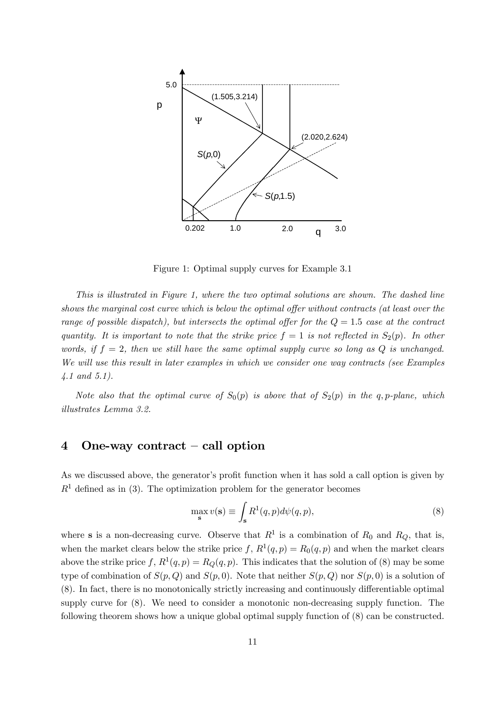

Figure 1: Optimal supply curves for Example 3.1

This is illustrated in Figure 1, where the two optimal solutions are shown. The dashed line shows the marginal cost curve which is below the optimal offer without contracts (at least over the range of possible dispatch), but intersects the optimal offer for the  $Q = 1.5$  case at the contract quantity. It is important to note that the strike price  $f = 1$  is not reflected in  $S_2(p)$ . In other words, if  $f = 2$ , then we still have the same optimal supply curve so long as Q is unchanged. We will use this result in later examples in which we consider one way contracts (see Examples 4.1 and 5.1).

Note also that the optimal curve of  $S_0(p)$  is above that of  $S_2(p)$  in the q, p-plane, which illustrates Lemma 3.2.

### 4 One-way contract — call option

As we discussed above, the generator's profit function when it has sold a call option is given by  $R<sup>1</sup>$  defined as in (3). The optimization problem for the generator becomes

$$
\max_{\mathbf{s}} v(\mathbf{s}) \equiv \int_{\mathbf{s}} R^1(q, p) d\psi(q, p), \tag{8}
$$

where s is a non-decreasing curve. Observe that  $R^1$  is a combination of  $R_0$  and  $R_Q$ , that is, when the market clears below the strike price f,  $R^1(q, p) = R_0(q, p)$  and when the market clears above the strike price f,  $R^1(q, p) = R_Q(q, p)$ . This indicates that the solution of (8) may be some type of combination of  $S(p, Q)$  and  $S(p, 0)$ . Note that neither  $S(p, Q)$  nor  $S(p, 0)$  is a solution of (8). In fact, there is no monotonically strictly increasing and continuously differentiable optimal supply curve for (8). We need to consider a monotonic non-decreasing supply function. The following theorem shows how a unique global optimal supply function of (8) can be constructed.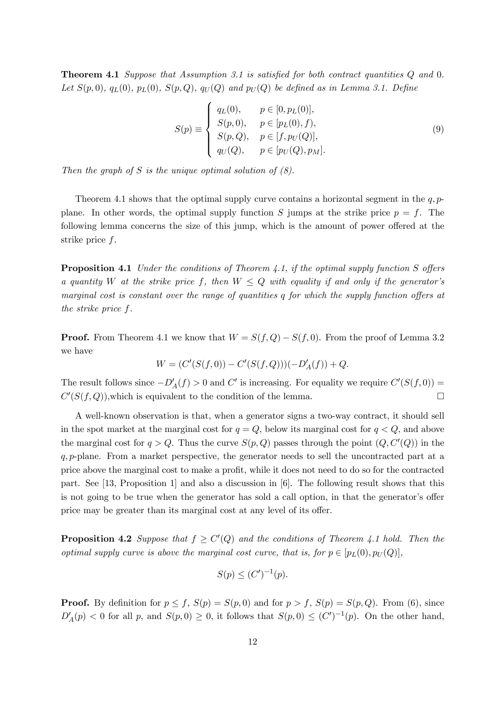Theorem 4.1 Suppose that Assumption 3.1 is satisfied for both contract quantities Q and 0. Let  $S(p, 0)$ ,  $q_L(0)$ ,  $p_L(0)$ ,  $S(p, Q)$ ,  $q_U(Q)$  and  $p_U(Q)$  be defined as in Lemma 3.1. Define

$$
S(p) \equiv \begin{cases} q_L(0), & p \in [0, p_L(0)], \\ S(p, 0), & p \in [p_L(0), f), \\ S(p, Q), & p \in [f, p_U(Q)], \\ q_U(Q), & p \in [p_U(Q), p_M]. \end{cases}
$$
(9)

Then the graph of S is the unique optimal solution of  $(8)$ .

Theorem 4.1 shows that the optimal supply curve contains a horizontal segment in the  $q, p$ plane. In other words, the optimal supply function S jumps at the strike price  $p = f$ . The following lemma concerns the size of this jump, which is the amount of power offered at the strike price f.

Proposition 4.1 Under the conditions of Theorem 4.1, if the optimal supply function S offers a quantity W at the strike price f, then  $W \leq Q$  with equality if and only if the generator's marginal cost is constant over the range of quantities q for which the supply function offers at the strike price f.

**Proof.** From Theorem 4.1 we know that  $W = S(f, Q) - S(f, 0)$ . From the proof of Lemma 3.2 we have

$$
W = (C'(S(f, 0)) - C'(S(f, Q)))(-D'_A(f)) + Q.
$$

The result follows since  $-D'_{A}(f) > 0$  and C' is increasing. For equality we require  $C'(S(f, 0)) =$  $C'(S(f, Q))$ , which is equivalent to the condition of the lemma.

A well-known observation is that, when a generator signs a two-way contract, it should sell in the spot market at the marginal cost for  $q = Q$ , below its marginal cost for  $q < Q$ , and above the marginal cost for  $q > Q$ . Thus the curve  $S(p, Q)$  passes through the point  $(Q, C'(Q))$  in the q, p-plane. From a market perspective, the generator needs to sell the uncontracted part at a price above the marginal cost to make a profit, while it does not need to do so for the contracted part. See [13, Proposition 1] and also a discussion in [6]. The following result shows that this is not going to be true when the generator has sold a call option, in that the generator's offer price may be greater than its marginal cost at any level of its offer.

**Proposition 4.2** Suppose that  $f \geq C'(Q)$  and the conditions of Theorem 4.1 hold. Then the optimal supply curve is above the marginal cost curve, that is, for  $p \in [p_L(0), p_U(Q)]$ ,

$$
S(p) \le (C')^{-1}(p).
$$

**Proof.** By definition for  $p \leq f$ ,  $S(p) = S(p, 0)$  and for  $p > f$ ,  $S(p) = S(p, Q)$ . From (6), since  $D'_A(p) < 0$  for all p, and  $S(p, 0) \ge 0$ , it follows that  $S(p, 0) \le (C')^{-1}(p)$ . On the other hand,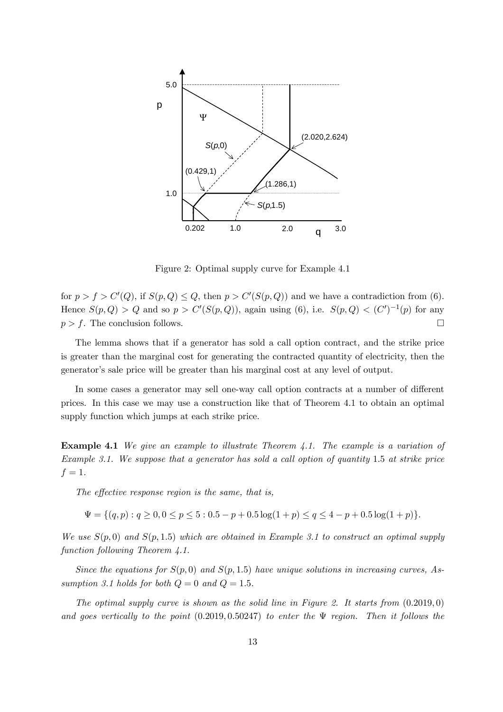

Figure 2: Optimal supply curve for Example 4.1

for  $p > f > C'(Q)$ , if  $S(p, Q) \le Q$ , then  $p > C'(S(p, Q))$  and we have a contradiction from (6). Hence  $S(p, Q) > Q$  and so  $p > C'(S(p, Q))$ , again using (6), i.e.  $S(p, Q) < (C')^{-1}(p)$  for any  $p>f$ . The conclusion follows.

The lemma shows that if a generator has sold a call option contract, and the strike price is greater than the marginal cost for generating the contracted quantity of electricity, then the generator's sale price will be greater than his marginal cost at any level of output.

In some cases a generator may sell one-way call option contracts at a number of different prices. In this case we may use a construction like that of Theorem 4.1 to obtain an optimal supply function which jumps at each strike price.

**Example 4.1** We give an example to illustrate Theorem 4.1. The example is a variation of Example 3.1. We suppose that a generator has sold a call option of quantity 1.5 at strike price  $f=1$ .

The effective response region is the same, that is,

 $\Psi = \{(q, p) : q \geq 0, 0 \leq p \leq 5 : 0.5 - p + 0.5 \log(1 + p) \leq q \leq 4 - p + 0.5 \log(1 + p)\}.$ 

We use  $S(p,0)$  and  $S(p,1.5)$  which are obtained in Example 3.1 to construct an optimal supply function following Theorem 4.1.

Since the equations for  $S(p, 0)$  and  $S(p, 1.5)$  have unique solutions in increasing curves, Assumption 3.1 holds for both  $Q = 0$  and  $Q = 1.5$ .

The optimal supply curve is shown as the solid line in Figure 2. It starts from  $(0.2019, 0)$ and goes vertically to the point  $(0.2019, 0.50247)$  to enter the  $\Psi$  region. Then it follows the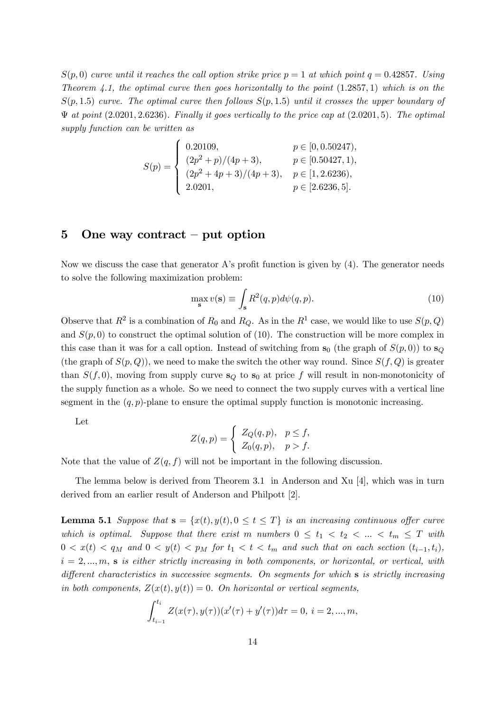$S(p,0)$  curve until it reaches the call option strike price  $p=1$  at which point  $q=0.42857$ . Using Theorem 4.1, the optimal curve then goes horizontally to the point  $(1.2857, 1)$  which is on the  $S(p, 1.5)$  curve. The optimal curve then follows  $S(p, 1.5)$  until it crosses the upper boundary of  $\Psi$  at point (2.0201, 2.6236). Finally it goes vertically to the price cap at (2.0201, 5). The optimal supply function can be written as

$$
S(p) = \begin{cases} 0.20109, & p \in [0, 0.50247), \\ (2p^2 + p)/(4p + 3), & p \in [0.50427, 1), \\ (2p^2 + 4p + 3)/(4p + 3), & p \in [1, 2.6236), \\ 2.0201, & p \in [2.6236, 5]. \end{cases}
$$

## 5 One way contract – put option

Now we discuss the case that generator A's profit function is given by (4). The generator needs to solve the following maximization problem:

$$
\max_{\mathbf{s}} v(\mathbf{s}) \equiv \int_{\mathbf{s}} R^2(q, p) d\psi(q, p). \tag{10}
$$

Observe that  $R^2$  is a combination of  $R_0$  and  $R_Q$ . As in the  $R^1$  case, we would like to use  $S(p, Q)$ and  $S(p, 0)$  to construct the optimal solution of (10). The construction will be more complex in this case than it was for a call option. Instead of switching from  $s_0$  (the graph of  $S(p, 0)$ ) to  $s_0$ (the graph of  $S(p, Q)$ ), we need to make the switch the other way round. Since  $S(f, Q)$  is greater than  $S(f, 0)$ , moving from supply curve  $s_Q$  to  $s_Q$  at price f will result in non-monotonicity of the supply function as a whole. So we need to connect the two supply curves with a vertical line segment in the  $(q, p)$ -plane to ensure the optimal supply function is monotonic increasing.

Let

$$
Z(q,p) = \begin{cases} Z_Q(q,p), & p \le f, \\ Z_0(q,p), & p > f. \end{cases}
$$

Note that the value of  $Z(q, f)$  will not be important in the following discussion.

The lemma below is derived from Theorem 3.1 in Anderson and Xu [4], which was in turn derived from an earlier result of Anderson and Philpott [2].

**Lemma 5.1** Suppose that  $\mathbf{s} = \{x(t), y(t), 0 \le t \le T\}$  is an increasing continuous offer curve which is optimal. Suppose that there exist m numbers  $0 \le t_1 < t_2 < ... < t_m \le T$  with  $0 < x(t) < q_M$  and  $0 < y(t) < p_M$  for  $t_1 < t < t_m$  and such that on each section  $(t_{i-1}, t_i)$ ,  $i = 2, \ldots, m$ , s is either strictly increasing in both components, or horizontal, or vertical, with different characteristics in successive segments. On segments for which s is strictly increasing in both components,  $Z(x(t), y(t)) = 0$ . On horizontal or vertical segments,

$$
\int_{t_{i-1}}^{t_i} Z(x(\tau), y(\tau)) (x'(\tau) + y'(\tau)) d\tau = 0, i = 2, ..., m,
$$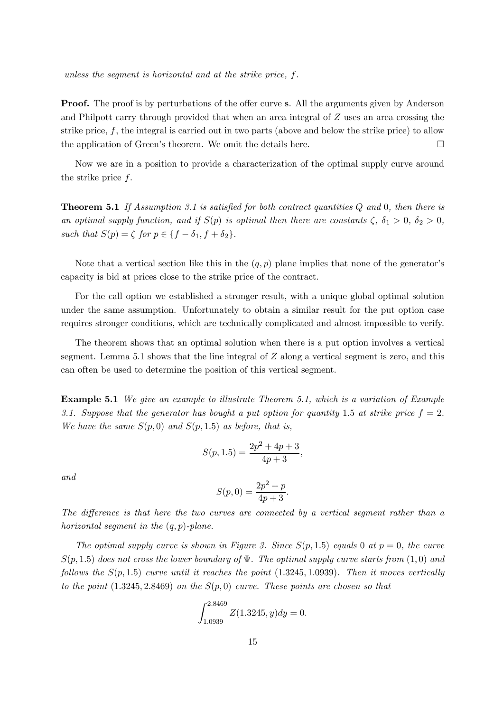unless the segment is horizontal and at the strike price, f.

**Proof.** The proof is by perturbations of the offer curve s. All the arguments given by Anderson and Philpott carry through provided that when an area integral of Z uses an area crossing the strike price,  $f$ , the integral is carried out in two parts (above and below the strike price) to allow the application of Green's theorem. We omit the details here.  $\Box$ 

Now we are in a position to provide a characterization of the optimal supply curve around the strike price f.

**Theorem 5.1** If Assumption 3.1 is satisfied for both contract quantities  $Q$  and  $0$ , then there is an optimal supply function, and if  $S(p)$  is optimal then there are constants  $\zeta$ ,  $\delta_1 > 0$ ,  $\delta_2 > 0$ , such that  $S(p) = \zeta$  for  $p \in \{f - \delta_1, f + \delta_2\}.$ 

Note that a vertical section like this in the  $(q, p)$  plane implies that none of the generator's capacity is bid at prices close to the strike price of the contract.

For the call option we established a stronger result, with a unique global optimal solution under the same assumption. Unfortunately to obtain a similar result for the put option case requires stronger conditions, which are technically complicated and almost impossible to verify.

The theorem shows that an optimal solution when there is a put option involves a vertical segment. Lemma 5.1 shows that the line integral of  $Z$  along a vertical segment is zero, and this can often be used to determine the position of this vertical segment.

Example 5.1 We give an example to illustrate Theorem 5.1, which is a variation of Example 3.1. Suppose that the generator has bought a put option for quantity 1.5 at strike price  $f = 2$ . We have the same  $S(p,0)$  and  $S(p,1.5)$  as before, that is,

$$
S(p, 1.5) = \frac{2p^2 + 4p + 3}{4p + 3},
$$

and

$$
S(p,0) = \frac{2p^2 + p}{4p + 3}.
$$

The difference is that here the two curves are connected by a vertical segment rather than a horizontal seqment in the  $(q, p)$ -plane.

The optimal supply curve is shown in Figure 3. Since  $S(p, 1.5)$  equals 0 at  $p = 0$ , the curve  $S(p, 1.5)$  does not cross the lower boundary of  $\Psi$ . The optimal supply curve starts from  $(1, 0)$  and follows the  $S(p, 1.5)$  curve until it reaches the point  $(1.3245, 1.0939)$ . Then it moves vertically to the point  $(1.3245, 2.8469)$  on the  $S(p, 0)$  curve. These points are chosen so that

$$
\int_{1.0939}^{2.8469} Z(1.3245, y) dy = 0.
$$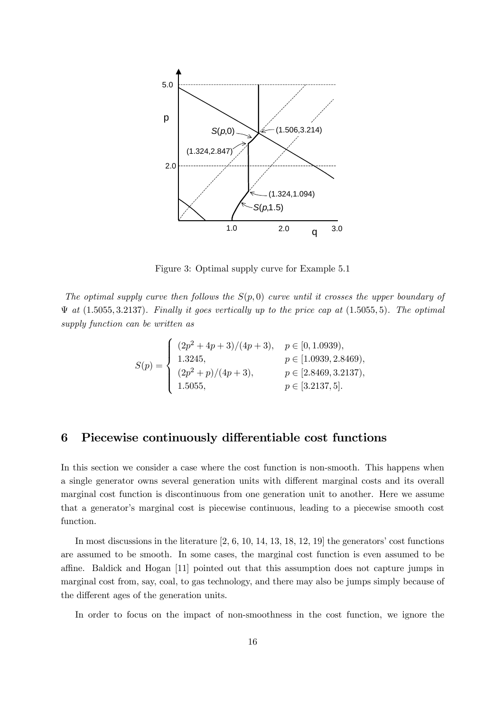

Figure 3: Optimal supply curve for Example 5.1

The optimal supply curve then follows the  $S(p, 0)$  curve until it crosses the upper boundary of  $\Psi$  at  $(1.5055, 3.2137)$ . Finally it goes vertically up to the price cap at  $(1.5055, 5)$ . The optimal supply function can be written as

$$
S(p) = \begin{cases} (2p^2 + 4p + 3)/(4p + 3), & p \in [0, 1.0939), \\ 1.3245, & p \in [1.0939, 2.8469), \\ (2p^2 + p)/(4p + 3), & p \in [2.8469, 3.2137), \\ 1.5055, & p \in [3.2137, 5]. \end{cases}
$$

### 6 Piecewise continuously differentiable cost functions

In this section we consider a case where the cost function is non-smooth. This happens when a single generator owns several generation units with different marginal costs and its overall marginal cost function is discontinuous from one generation unit to another. Here we assume that a generator's marginal cost is piecewise continuous, leading to a piecewise smooth cost function.

In most discussions in the literature  $[2, 6, 10, 14, 13, 18, 12, 19]$  the generators' cost functions are assumed to be smooth. In some cases, the marginal cost function is even assumed to be affine. Baldick and Hogan [11] pointed out that this assumption does not capture jumps in marginal cost from, say, coal, to gas technology, and there may also be jumps simply because of the different ages of the generation units.

In order to focus on the impact of non-smoothness in the cost function, we ignore the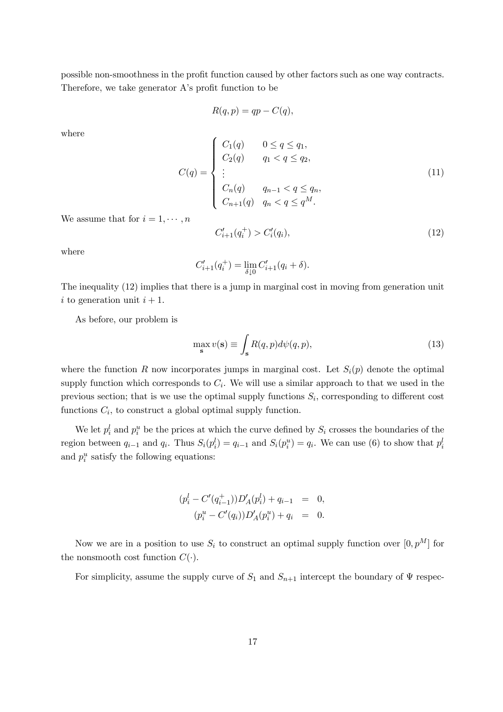possible non-smoothness in the profit function caused by other factors such as one way contracts. Therefore, we take generator A's profit function to be

$$
R(q, p) = qp - C(q),
$$

where

$$
C(q) = \begin{cases} C_1(q) & 0 \le q \le q_1, \\ C_2(q) & q_1 < q \le q_2, \\ \vdots \\ C_n(q) & q_{n-1} < q \le q_n, \\ C_{n+1}(q) & q_n < q \le q^M. \end{cases}
$$
(11)

We assume that for  $i = 1, \dots, n$ 

$$
C'_{i+1}(q_i^+) > C'_i(q_i),\tag{12}
$$

where

$$
C'_{i+1}(q_i^+) = \lim_{\delta \downarrow 0} C'_{i+1}(q_i + \delta).
$$

The inequality (12) implies that there is a jump in marginal cost in moving from generation unit i to generation unit  $i + 1$ .

As before, our problem is

$$
\max_{\mathbf{s}} v(\mathbf{s}) \equiv \int_{\mathbf{s}} R(q, p) d\psi(q, p), \tag{13}
$$

where the function R now incorporates jumps in marginal cost. Let  $S_i(p)$  denote the optimal supply function which corresponds to  $C_i$ . We will use a similar approach to that we used in the previous section; that is we use the optimal supply functions  $S_i$ , corresponding to different cost functions  $C_i$ , to construct a global optimal supply function.

We let  $p_i^l$  and  $p_i^u$  be the prices at which the curve defined by  $S_i$  crosses the boundaries of the region between  $q_{i-1}$  and  $q_i$ . Thus  $S_i(p_i^l) = q_{i-1}$  and  $S_i(p_i^u) = q_i$ . We can use (6) to show that  $p_i^l$ and  $p_i^u$  satisfy the following equations:

$$
(p_i^l - C'(q_{i-1}^+))D'_A(p_i^l) + q_{i-1} = 0,
$$
  

$$
(p_i^u - C'(q_i))D'_A(p_i^u) + q_i = 0.
$$

Now we are in a position to use  $S_i$  to construct an optimal supply function over  $[0, p^M]$  for the nonsmooth cost function  $C(\cdot)$ .

For simplicity, assume the supply curve of  $S_1$  and  $S_{n+1}$  intercept the boundary of  $\Psi$  respec-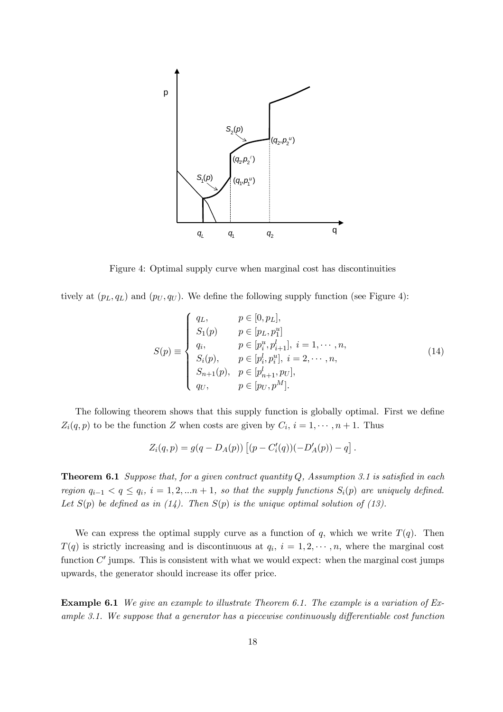

Figure 4: Optimal supply curve when marginal cost has discontinuities

tively at  $(p_L, q_L)$  and  $(p_U, q_U)$ . We define the following supply function (see Figure 4):

$$
S(p) \equiv \begin{cases} q_L, & p \in [0, p_L], \\ S_1(p) & p \in [p_L, p_1^u] \\ q_i, & p \in [p_i^u, p_{i+1}^l], i = 1, \dots, n, \\ S_i(p), & p \in [p_i^l, p_i^u], i = 2, \dots, n, \\ S_{n+1}(p), & p \in [p_{n+1}^l, p_U], \\ q_U, & p \in [p_U, p^M]. \end{cases}
$$
(14)

The following theorem shows that this supply function is globally optimal. First we define  $Z_i(q, p)$  to be the function Z when costs are given by  $C_i$ ,  $i = 1, \dots, n + 1$ . Thus

$$
Z_i(q,p) = g(q - D_A(p)) [(p - C_i'(q))(-D'_A(p)) - q].
$$

**Theorem 6.1** Suppose that, for a given contract quantity  $Q$ , Assumption 3.1 is satisfied in each region  $q_{i-1} < q \le q_i$ ,  $i = 1, 2, ...n + 1$ , so that the supply functions  $S_i(p)$  are uniquely defined. Let  $S(p)$  be defined as in (14). Then  $S(p)$  is the unique optimal solution of (13).

We can express the optimal supply curve as a function of q, which we write  $T(q)$ . Then  $T(q)$  is strictly increasing and is discontinuous at  $q_i$ ,  $i = 1, 2, \dots, n$ , where the marginal cost function  $C'$  jumps. This is consistent with what we would expect: when the marginal cost jumps upwards, the generator should increase its offer price.

Example 6.1 We give an example to illustrate Theorem 6.1. The example is a variation of Example 3.1. We suppose that a generator has a piecewise continuously differentiable cost function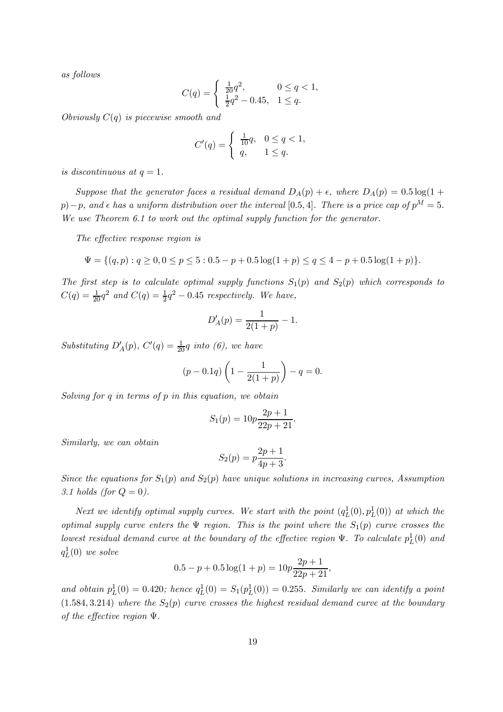as follows

$$
C(q) = \begin{cases} \frac{1}{20}q^2, & 0 \le q < 1, \\ \frac{1}{2}q^2 - 0.45, & 1 \le q. \end{cases}
$$

Obviously  $C(q)$  is piecewise smooth and

$$
C'(q) = \begin{cases} \frac{1}{10}q, & 0 \le q < 1, \\ q, & 1 \le q. \end{cases}
$$

is discontinuous at  $q=1$ .

Suppose that the generator faces a residual demand  $D_A(p) + \epsilon$ , where  $D_A(p) = 0.5 \log(1 +$ p) – p, and  $\epsilon$  has a uniform distribution over the interval [0.5, 4]. There is a price cap of  $p^M = 5$ . We use Theorem 6.1 to work out the optimal supply function for the generator.

The effective response region is

$$
\Psi = \{(q, p) : q \ge 0, 0 \le p \le 5 : 0.5 - p + 0.5 \log(1 + p) \le q \le 4 - p + 0.5 \log(1 + p)\}.
$$

The first step is to calculate optimal supply functions  $S_1(p)$  and  $S_2(p)$  which corresponds to  $C(q) = \frac{1}{20}q^2$  and  $C(q) = \frac{1}{2}q^2 - 0.45$  respectively. We have,

$$
D'_A(p) = \frac{1}{2(1+p)} - 1.
$$

Substituting  $D'_A(p)$ ,  $C'(q) = \frac{1}{20}q$  into (6), we have

$$
(p - 0.1q)\left(1 - \frac{1}{2(1+p)}\right) - q = 0.
$$

Solving for  $q$  in terms of  $p$  in this equation, we obtain

$$
S_1(p) = 10p \frac{2p+1}{22p+21}.
$$

Similarly, we can obtain

$$
S_2(p) = p \frac{2p+1}{4p+3}.
$$

Since the equations for  $S_1(p)$  and  $S_2(p)$  have unique solutions in increasing curves, Assumption 3.1 holds (for  $Q = 0$ ).

Next we identify optimal supply curves. We start with the point  $(q_L^1(0), p_L^1(0))$  at which the optimal supply curve enters the  $\Psi$  region. This is the point where the  $S_1(p)$  curve crosses the lowest residual demand curve at the boundary of the effective region  $\Psi$ . To calculate  $p_L^1(0)$  and  $q_L^1(0)$  we solve

$$
0.5 - p + 0.5\log(1 + p) = 10p\frac{2p + 1}{22p + 21},
$$

and obtain  $p_L^1(0) = 0.420$ ; hence  $q_L^1(0) = S_1(p_L^1(0)) = 0.255$ . Similarly we can identify a point  $(1.584, 3.214)$  where the  $S_2(p)$  curve crosses the highest residual demand curve at the boundary of the effective region  $\Psi$ .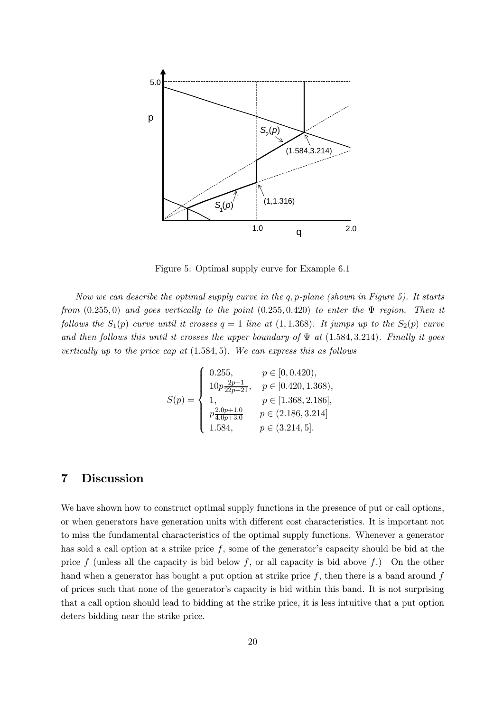

Figure 5: Optimal supply curve for Example 6.1

Now we can describe the optimal supply curve in the  $q, p$ -plane (shown in Figure 5). It starts from  $(0.255, 0)$  and goes vertically to the point  $(0.255, 0.420)$  to enter the  $\Psi$  region. Then it follows the  $S_1(p)$  curve until it crosses  $q = 1$  line at  $(1, 1.368)$ . It jumps up to the  $S_2(p)$  curve and then follows this until it crosses the upper boundary of  $\Psi$  at (1.584, 3.214). Finally it goes vertically up to the price cap at  $(1.584, 5)$ . We can express this as follows

$$
S(p) = \begin{cases} 0.255, & p \in [0, 0.420), \\ 10p \frac{2p+1}{22p+21}, & p \in [0.420, 1.368), \\ 1, & p \in [1.368, 2.186], \\ p \frac{2.0p+1.0}{4.0p+3.0} & p \in (2.186, 3.214] \\ 1.584, & p \in (3.214, 5]. \end{cases}
$$

## 7 Discussion

We have shown how to construct optimal supply functions in the presence of put or call options, or when generators have generation units with different cost characteristics. It is important not to miss the fundamental characteristics of the optimal supply functions. Whenever a generator has sold a call option at a strike price  $f$ , some of the generator's capacity should be bid at the price f (unless all the capacity is bid below f, or all capacity is bid above f.) On the other hand when a generator has bought a put option at strike price  $f$ , then there is a band around  $f$ of prices such that none of the generator's capacity is bid within this band. It is not surprising that a call option should lead to bidding at the strike price, it is less intuitive that a put option deters bidding near the strike price.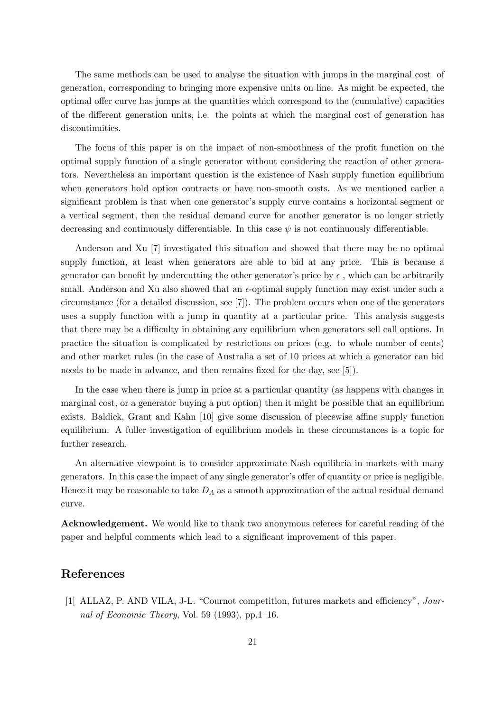The same methods can be used to analyse the situation with jumps in the marginal cost of generation, corresponding to bringing more expensive units on line. As might be expected, the optimal offer curve has jumps at the quantities which correspond to the (cumulative) capacities of the different generation units, i.e. the points at which the marginal cost of generation has discontinuities.

The focus of this paper is on the impact of non-smoothness of the profit function on the optimal supply function of a single generator without considering the reaction of other generators. Nevertheless an important question is the existence of Nash supply function equilibrium when generators hold option contracts or have non-smooth costs. As we mentioned earlier a significant problem is that when one generator's supply curve contains a horizontal segment or a vertical segment, then the residual demand curve for another generator is no longer strictly decreasing and continuously differentiable. In this case  $\psi$  is not continuously differentiable.

Anderson and Xu [7] investigated this situation and showed that there may be no optimal supply function, at least when generators are able to bid at any price. This is because a generator can benefit by undercutting the other generator's price by  $\epsilon$ , which can be arbitrarily small. Anderson and Xu also showed that an  $\epsilon$ -optimal supply function may exist under such a circumstance (for a detailed discussion, see [7]). The problem occurs when one of the generators uses a supply function with a jump in quantity at a particular price. This analysis suggests that there may be a difficulty in obtaining any equilibrium when generators sell call options. In practice the situation is complicated by restrictions on prices (e.g. to whole number of cents) and other market rules (in the case of Australia a set of 10 prices at which a generator can bid needs to be made in advance, and then remains fixed for the day, see [5]).

In the case when there is jump in price at a particular quantity (as happens with changes in marginal cost, or a generator buying a put option) then it might be possible that an equilibrium exists. Baldick, Grant and Kahn [10] give some discussion of piecewise affine supply function equilibrium. A fuller investigation of equilibrium models in these circumstances is a topic for further research.

An alternative viewpoint is to consider approximate Nash equilibria in markets with many generators. In this case the impact of any single generator's offer of quantity or price is negligible. Hence it may be reasonable to take  $D_A$  as a smooth approximation of the actual residual demand curve.

Acknowledgement. We would like to thank two anonymous referees for careful reading of the paper and helpful comments which lead to a significant improvement of this paper.

## References

[1] ALLAZ, P. AND VILA, J-L. "Cournot competition, futures markets and efficiency", Journal of Economic Theory, Vol. 59 (1993), pp.1—16.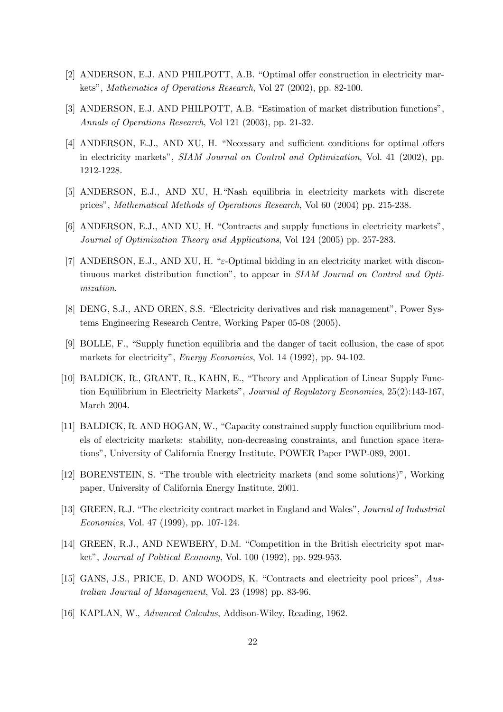- [2] ANDERSON, E.J. AND PHILPOTT, A.B. "Optimal offer construction in electricity markets", Mathematics of Operations Research, Vol 27 (2002), pp. 82-100.
- [3] ANDERSON, E.J. AND PHILPOTT, A.B. "Estimation of market distribution functions", Annals of Operations Research, Vol 121 (2003), pp. 21-32.
- [4] ANDERSON, E.J., AND XU, H. "Necessary and sufficient conditions for optimal offers in electricity markets", SIAM Journal on Control and Optimization, Vol. 41 (2002), pp. 1212-1228.
- [5] ANDERSON, E.J., AND XU, H."Nash equilibria in electricity markets with discrete prices", Mathematical Methods of Operations Research, Vol 60 (2004) pp. 215-238.
- [6] ANDERSON, E.J., AND XU, H. "Contracts and supply functions in electricity markets", Journal of Optimization Theory and Applications, Vol 124 (2005) pp. 257-283.
- [7] ANDERSON, E.J., AND XU, H. "ε-Optimal bidding in an electricity market with discontinuous market distribution function", to appear in SIAM Journal on Control and Optimization.
- [8] DENG, S.J., AND OREN, S.S. "Electricity derivatives and risk management", Power Systems Engineering Research Centre, Working Paper 05-08 (2005).
- [9] BOLLE, F., "Supply function equilibria and the danger of tacit collusion, the case of spot markets for electricity", Energy Economics, Vol. 14 (1992), pp. 94-102.
- [10] BALDICK, R., GRANT, R., KAHN, E., "Theory and Application of Linear Supply Function Equilibrium in Electricity Markets", Journal of Regulatory Economics, 25(2):143-167, March 2004.
- [11] BALDICK, R. AND HOGAN, W., "Capacity constrained supply function equilibrium models of electricity markets: stability, non-decreasing constraints, and function space iterations", University of California Energy Institute, POWER Paper PWP-089, 2001.
- [12] BORENSTEIN, S. "The trouble with electricity markets (and some solutions)", Working paper, University of California Energy Institute, 2001.
- [13] GREEN, R.J. "The electricity contract market in England and Wales", Journal of Industrial Economics, Vol. 47 (1999), pp. 107-124.
- [14] GREEN, R.J., AND NEWBERY, D.M. "Competition in the British electricity spot market", Journal of Political Economy, Vol. 100 (1992), pp. 929-953.
- [15] GANS, J.S., PRICE, D. AND WOODS, K. "Contracts and electricity pool prices", Australian Journal of Management, Vol. 23 (1998) pp. 83-96.
- [16] KAPLAN, W., Advanced Calculus, Addison-Wiley, Reading, 1962.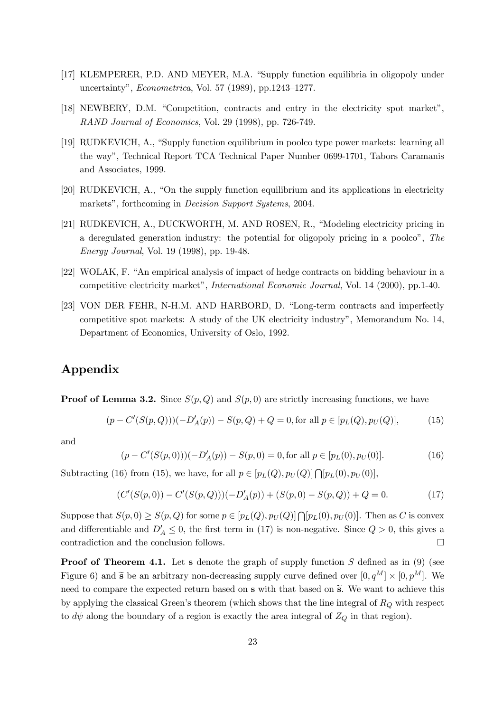- [17] KLEMPERER, P.D. AND MEYER, M.A. "Supply function equilibria in oligopoly under uncertainty", Econometrica, Vol. 57 (1989), pp.1243—1277.
- [18] NEWBERY, D.M. "Competition, contracts and entry in the electricity spot market", RAND Journal of Economics, Vol. 29 (1998), pp. 726-749.
- [19] RUDKEVICH, A., "Supply function equilibrium in poolco type power markets: learning all the way", Technical Report TCA Technical Paper Number 0699-1701, Tabors Caramanis and Associates, 1999.
- [20] RUDKEVICH, A., "On the supply function equilibrium and its applications in electricity markets", forthcoming in *Decision Support Systems*, 2004.
- [21] RUDKEVICH, A., DUCKWORTH, M. AND ROSEN, R., "Modeling electricity pricing in a deregulated generation industry: the potential for oligopoly pricing in a poolco", The Energy Journal, Vol. 19 (1998), pp. 19-48.
- [22] WOLAK, F. "An empirical analysis of impact of hedge contracts on bidding behaviour in a competitive electricity market", International Economic Journal, Vol. 14 (2000), pp.1-40.
- [23] VON DER FEHR, N-H.M. AND HARBORD, D. "Long-term contracts and imperfectly competitive spot markets: A study of the UK electricity industry", Memorandum No. 14, Department of Economics, University of Oslo, 1992.

# Appendix

**Proof of Lemma 3.2.** Since  $S(p, Q)$  and  $S(p, 0)$  are strictly increasing functions, we have

$$
(p - C'(S(p, Q)))(-D'_A(p)) - S(p, Q) + Q = 0, \text{for all } p \in [p_L(Q), p_U(Q)],
$$
 (15)

and

$$
(p - C'(S(p,0)))(-D'_A(p)) - S(p,0) = 0, \text{for all } p \in [p_L(0), p_U(0)].
$$
 (16)

Subtracting (16) from (15), we have, for all  $p \in [p_L(Q), p_U(Q)] \cap [p_L(0), p_U(0)],$ 

$$
(C'(S(p,0)) - C'(S(p,Q)))(-D'_A(p)) + (S(p,0) - S(p,Q)) + Q = 0.
$$
\n(17)

Suppose that  $S(p, 0) \geq S(p, Q)$  for some  $p \in [p_L(Q), p_U(Q)] \cap [p_L(0), p_U(0)]$ . Then as C is convex and differentiable and  $D'_A \leq 0$ , the first term in (17) is non-negative. Since  $Q > 0$ , this gives a contradiction and the conclusion follows.  $\Box$ 

**Proof of Theorem 4.1.** Let s denote the graph of supply function  $S$  defined as in (9) (see Figure 6) and  $\tilde{s}$  be an arbitrary non-decreasing supply curve defined over  $[0, q^M] \times [0, p^M]$ . We need to compare the expected return based on  $\tilde{s}$  with that based on  $\tilde{s}$ . We want to achieve this by applying the classical Green's theorem (which shows that the line integral of  $R_Q$  with respect to  $d\psi$  along the boundary of a region is exactly the area integral of  $Z_Q$  in that region).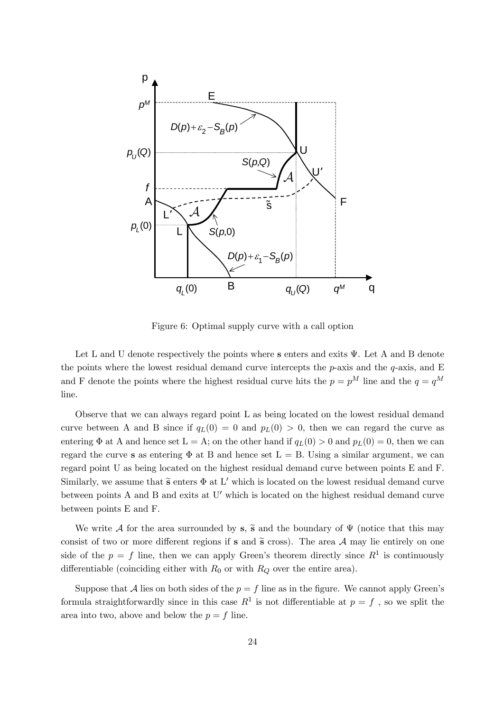

Figure 6: Optimal supply curve with a call option

Let L and U denote respectively the points where s enters and exits  $\Psi$ . Let A and B denote the points where the lowest residual demand curve intercepts the  $p$ -axis and the  $q$ -axis, and E and F denote the points where the highest residual curve hits the  $p = p^M$  line and the  $q = q^M$ line.

Observe that we can always regard point L as being located on the lowest residual demand curve between A and B since if  $q_L(0) = 0$  and  $p_L(0) > 0$ , then we can regard the curve as entering  $\Phi$  at A and hence set  $L = A$ ; on the other hand if  $q_L(0) > 0$  and  $p_L(0) = 0$ , then we can regard the curve s as entering  $\Phi$  at B and hence set  $L = B$ . Using a similar argument, we can regard point U as being located on the highest residual demand curve between points E and F. Similarly, we assume that  $\tilde{s}$  enters  $\Phi$  at L' which is located on the lowest residual demand curve between points  $A$  and  $B$  and exits at  $U'$  which is located on the highest residual demand curve between points E and F.

We write A for the area surrounded by s,  $\tilde{s}$  and the boundary of  $\Psi$  (notice that this may consist of two or more different regions if s and  $\tilde{s}$  cross). The area A may lie entirely on one side of the  $p = f$  line, then we can apply Green's theorem directly since  $R<sup>1</sup>$  is continuously differentiable (coinciding either with  $R_0$  or with  $R_Q$  over the entire area).

Suppose that A lies on both sides of the  $p = f$  line as in the figure. We cannot apply Green's formula straightforwardly since in this case  $R^1$  is not differentiable at  $p = f$ , so we split the area into two, above and below the  $p = f$  line.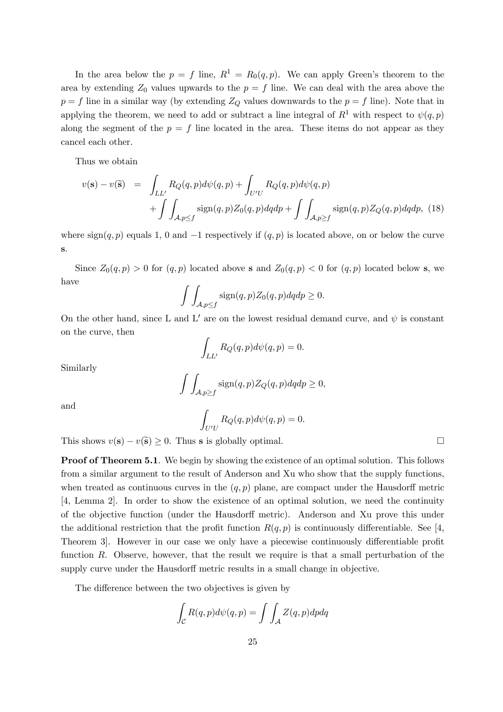In the area below the  $p = f$  line,  $R^1 = R_0(q, p)$ . We can apply Green's theorem to the area by extending  $Z_0$  values upwards to the  $p = f$  line. We can deal with the area above the  $p = f$  line in a similar way (by extending  $Z_Q$  values downwards to the  $p = f$  line). Note that in applying the theorem, we need to add or subtract a line integral of  $R^1$  with respect to  $\psi(q, p)$ along the segment of the  $p = f$  line located in the area. These items do not appear as they cancel each other.

Thus we obtain

$$
v(\mathbf{s}) - v(\tilde{\mathbf{s}}) = \int_{LL'} R_Q(q, p) d\psi(q, p) + \int_{U'U} R_Q(q, p) d\psi(q, p)
$$

$$
+ \int \int_{\mathcal{A}, p \le f} \text{sign}(q, p) Z_0(q, p) dq dp + \int \int_{\mathcal{A}, p \ge f} \text{sign}(q, p) Z_Q(q, p) dq dp, (18)
$$

where  $sign(q, p)$  equals 1, 0 and  $-1$  respectively if  $(q, p)$  is located above, on or below the curve s.

Since  $Z_0(q, p) > 0$  for  $(q, p)$  located above s and  $Z_0(q, p) < 0$  for  $(q, p)$  located below s, we have

$$
\int \int_{\mathcal{A}, p \le f} \text{sign}(q, p) Z_0(q, p) dq dp \ge 0.
$$

On the other hand, since L and L' are on the lowest residual demand curve, and  $\psi$  is constant on the curve, then

$$
\int_{LL'} R_Q(q, p) d\psi(q, p) = 0.
$$

Similarly

$$
\int \int_{\mathcal{A}, p \ge f} \text{sign}(q, p) Z_Q(q, p) dq dp \ge 0,
$$

and

$$
\int_{U'U} R_Q(q, p) d\psi(q, p) = 0.
$$

This shows  $v(\mathbf{s}) - v(\tilde{\mathbf{s}}) \geq 0$ . Thus s is globally optimal.  $\Box$ 

**Proof of Theorem 5.1.** We begin by showing the existence of an optimal solution. This follows from a similar argument to the result of Anderson and Xu who show that the supply functions, when treated as continuous curves in the  $(q, p)$  plane, are compact under the Hausdorff metric [4, Lemma 2]. In order to show the existence of an optimal solution, we need the continuity of the objective function (under the Hausdorff metric). Anderson and Xu prove this under the additional restriction that the profit function  $R(q, p)$  is continuously differentiable. See [4, Theorem 3]. However in our case we only have a piecewise continuously differentiable profit function R. Observe, however, that the result we require is that a small perturbation of the supply curve under the Hausdorff metric results in a small change in objective.

The difference between the two objectives is given by

$$
\int_{\mathcal{C}} R(q,p)d\psi(q,p) = \int \int_{\mathcal{A}} Z(q,p)dpdq
$$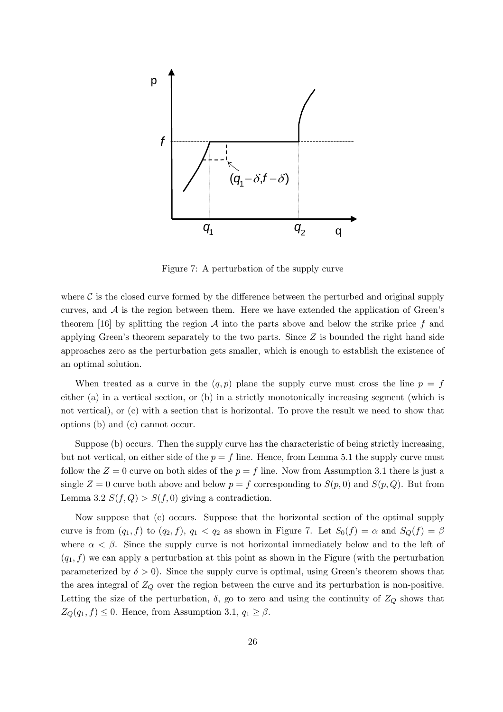

Figure 7: A perturbation of the supply curve

where  $\mathcal C$  is the closed curve formed by the difference between the perturbed and original supply curves, and  $A$  is the region between them. Here we have extended the application of Green's theorem [16] by splitting the region  $\mathcal A$  into the parts above and below the strike price f and applying Green's theorem separately to the two parts. Since  $Z$  is bounded the right hand side approaches zero as the perturbation gets smaller, which is enough to establish the existence of an optimal solution.

When treated as a curve in the  $(q, p)$  plane the supply curve must cross the line  $p = f$ either (a) in a vertical section, or (b) in a strictly monotonically increasing segment (which is not vertical), or (c) with a section that is horizontal. To prove the result we need to show that options (b) and (c) cannot occur.

Suppose (b) occurs. Then the supply curve has the characteristic of being strictly increasing, but not vertical, on either side of the  $p = f$  line. Hence, from Lemma 5.1 the supply curve must follow the  $Z = 0$  curve on both sides of the  $p = f$  line. Now from Assumption 3.1 there is just a single  $Z = 0$  curve both above and below  $p = f$  corresponding to  $S(p, 0)$  and  $S(p, Q)$ . But from Lemma 3.2  $S(f, Q) > S(f, 0)$  giving a contradiction.

Now suppose that (c) occurs. Suppose that the horizontal section of the optimal supply curve is from  $(q_1, f)$  to  $(q_2, f)$ ,  $q_1 < q_2$  as shown in Figure 7. Let  $S_0(f) = \alpha$  and  $S_Q(f) = \beta$ where  $\alpha < \beta$ . Since the supply curve is not horizontal immediately below and to the left of  $(q_1, f)$  we can apply a perturbation at this point as shown in the Figure (with the perturbation parameterized by  $\delta > 0$ . Since the supply curve is optimal, using Green's theorem shows that the area integral of  $Z_Q$  over the region between the curve and its perturbation is non-positive. Letting the size of the perturbation,  $\delta$ , go to zero and using the continuity of  $Z_Q$  shows that  $Z_Q(q_1, f) \leq 0$ . Hence, from Assumption 3.1,  $q_1 \geq \beta$ .